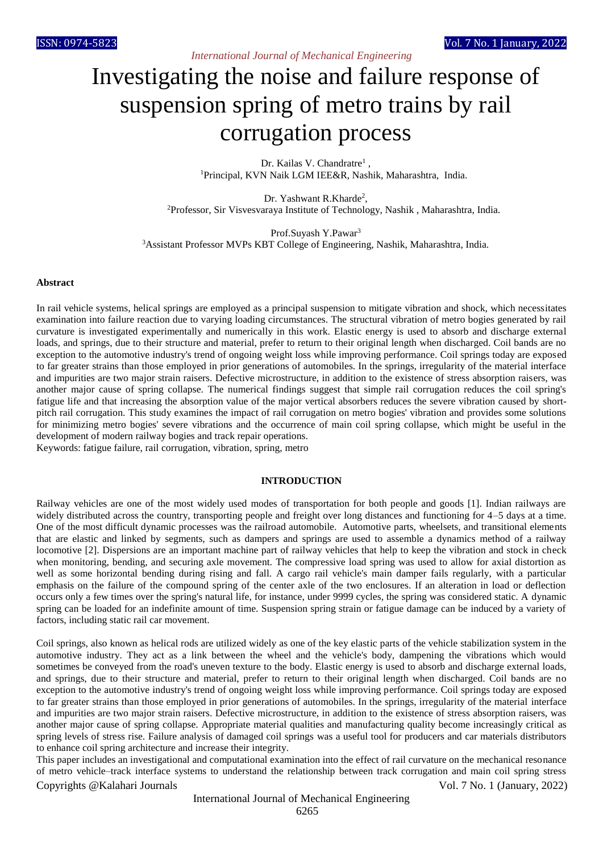# Investigating the noise and failure response of suspension spring of metro trains by rail corrugation process

Dr. Kailas V. Chandratre<sup>1</sup>, <sup>1</sup>Principal, KVN Naik LGM IEE&R, Nashik, Maharashtra, India.

Dr. Yashwant R.Kharde<sup>2</sup>, <sup>2</sup>Professor, Sir Visvesvaraya Institute of Technology, Nashik , Maharashtra, India.

Prof.Suyash Y.Pawar<sup>3</sup> <sup>3</sup>Assistant Professor MVPs KBT College of Engineering, Nashik, Maharashtra, India.

#### **Abstract**

In rail vehicle systems, helical springs are employed as a principal suspension to mitigate vibration and shock, which necessitates examination into failure reaction due to varying loading circumstances. The structural vibration of metro bogies generated by rail curvature is investigated experimentally and numerically in this work. Elastic energy is used to absorb and discharge external loads, and springs, due to their structure and material, prefer to return to their original length when discharged. Coil bands are no exception to the automotive industry's trend of ongoing weight loss while improving performance. Coil springs today are exposed to far greater strains than those employed in prior generations of automobiles. In the springs, irregularity of the material interface and impurities are two major strain raisers. Defective microstructure, in addition to the existence of stress absorption raisers, was another major cause of spring collapse. The numerical findings suggest that simple rail corrugation reduces the coil spring's fatigue life and that increasing the absorption value of the major vertical absorbers reduces the severe vibration caused by shortpitch rail corrugation. This study examines the impact of rail corrugation on metro bogies' vibration and provides some solutions for minimizing metro bogies' severe vibrations and the occurrence of main coil spring collapse, which might be useful in the development of modern railway bogies and track repair operations.

Keywords: fatigue failure, rail corrugation, vibration, spring, metro

#### **INTRODUCTION**

Railway vehicles are one of the most widely used modes of transportation for both people and goods [1]. Indian railways are widely distributed across the country, transporting people and freight over long distances and functioning for 4–5 days at a time. One of the most difficult dynamic processes was the railroad automobile. Automotive parts, wheelsets, and transitional elements that are elastic and linked by segments, such as dampers and springs are used to assemble a dynamics method of a railway locomotive [2]. Dispersions are an important machine part of railway vehicles that help to keep the vibration and stock in check when monitoring, bending, and securing axle movement. The compressive load spring was used to allow for axial distortion as well as some horizontal bending during rising and fall. A cargo rail vehicle's main damper fails regularly, with a particular emphasis on the failure of the compound spring of the center axle of the two enclosures. If an alteration in load or deflection occurs only a few times over the spring's natural life, for instance, under 9999 cycles, the spring was considered static. A dynamic spring can be loaded for an indefinite amount of time. Suspension spring strain or fatigue damage can be induced by a variety of factors, including static rail car movement.

Coil springs, also known as helical rods are utilized widely as one of the key elastic parts of the vehicle stabilization system in the automotive industry. They act as a link between the wheel and the vehicle's body, dampening the vibrations which would sometimes be conveyed from the road's uneven texture to the body. Elastic energy is used to absorb and discharge external loads, and springs, due to their structure and material, prefer to return to their original length when discharged. Coil bands are no exception to the automotive industry's trend of ongoing weight loss while improving performance. Coil springs today are exposed to far greater strains than those employed in prior generations of automobiles. In the springs, irregularity of the material interface and impurities are two major strain raisers. Defective microstructure, in addition to the existence of stress absorption raisers, was another major cause of spring collapse. Appropriate material qualities and manufacturing quality become increasingly critical as spring levels of stress rise. Failure analysis of damaged coil springs was a useful tool for producers and car materials distributors to enhance coil spring architecture and increase their integrity.

Copyrights @Kalahari Journals Vol. 7 No. 1 (January, 2022) This paper includes an investigational and computational examination into the effect of rail curvature on the mechanical resonance of metro vehicle–track interface systems to understand the relationship between track corrugation and main coil spring stress

International Journal of Mechanical Engineering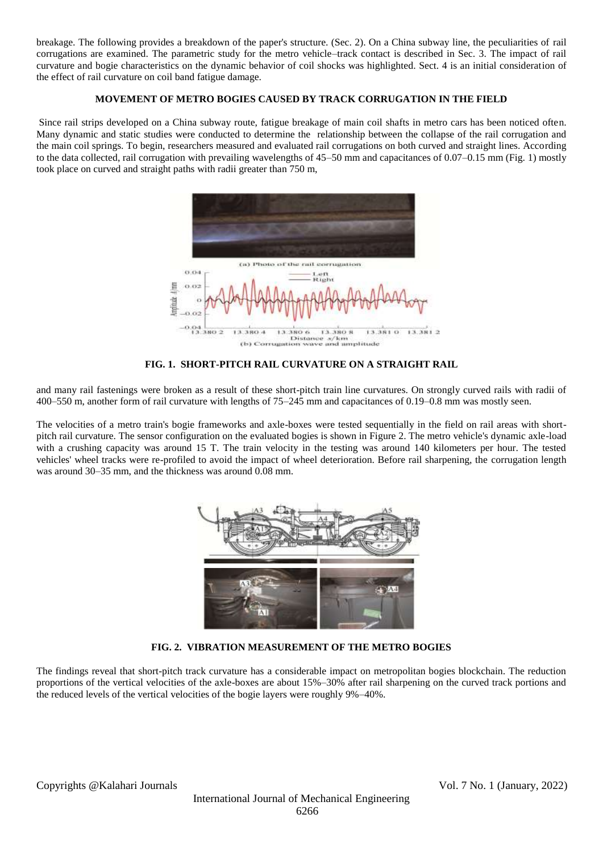breakage. The following provides a breakdown of the paper's structure. (Sec. 2). On a China subway line, the peculiarities of rail corrugations are examined. The parametric study for the metro vehicle–track contact is described in Sec. 3. The impact of rail curvature and bogie characteristics on the dynamic behavior of coil shocks was highlighted. Sect. 4 is an initial consideration of the effect of rail curvature on coil band fatigue damage.

# **MOVEMENT OF METRO BOGIES CAUSED BY TRACK CORRUGATION IN THE FIELD**

Since rail strips developed on a China subway route, fatigue breakage of main coil shafts in metro cars has been noticed often. Many dynamic and static studies were conducted to determine the relationship between the collapse of the rail corrugation and the main coil springs. To begin, researchers measured and evaluated rail corrugations on both curved and straight lines. According to the data collected, rail corrugation with prevailing wavelengths of 45–50 mm and capacitances of 0.07–0.15 mm (Fig. 1) mostly took place on curved and straight paths with radii greater than 750 m,



# **FIG. 1. SHORT-PITCH RAIL CURVATURE ON A STRAIGHT RAIL**

and many rail fastenings were broken as a result of these short-pitch train line curvatures. On strongly curved rails with radii of 400–550 m, another form of rail curvature with lengths of 75–245 mm and capacitances of 0.19–0.8 mm was mostly seen.

The velocities of a metro train's bogie frameworks and axle-boxes were tested sequentially in the field on rail areas with shortpitch rail curvature. The sensor configuration on the evaluated bogies is shown in Figure 2. The metro vehicle's dynamic axle-load with a crushing capacity was around 15 T. The train velocity in the testing was around 140 kilometers per hour. The tested vehicles' wheel tracks were re-profiled to avoid the impact of wheel deterioration. Before rail sharpening, the corrugation length was around 30–35 mm, and the thickness was around 0.08 mm.



#### **FIG. 2. VIBRATION MEASUREMENT OF THE METRO BOGIES**

The findings reveal that short-pitch track curvature has a considerable impact on metropolitan bogies blockchain. The reduction proportions of the vertical velocities of the axle-boxes are about 15%–30% after rail sharpening on the curved track portions and the reduced levels of the vertical velocities of the bogie layers were roughly 9%–40%.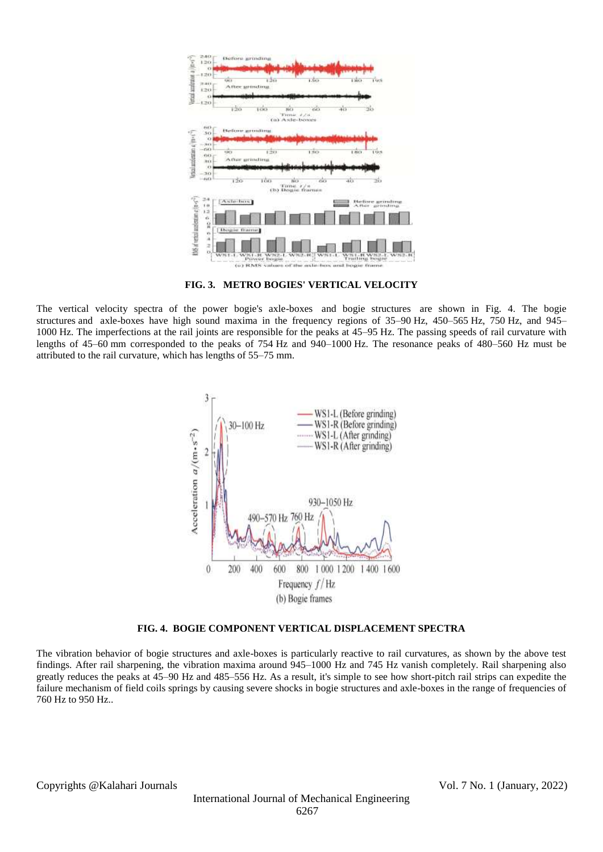

**FIG. 3. METRO BOGIES' VERTICAL VELOCITY**

The vertical velocity spectra of the power bogie's axle-boxes and bogie structures are shown in Fig. 4. The bogie structures and axle-boxes have high sound maxima in the frequency regions of 35–90 Hz, 450–565 Hz, 750 Hz, and 945– 1000 Hz. The imperfections at the rail joints are responsible for the peaks at 45–95 Hz. The passing speeds of rail curvature with lengths of 45–60 mm corresponded to the peaks of 754 Hz and 940–1000 Hz. The resonance peaks of 480–560 Hz must be attributed to the rail curvature, which has lengths of 55–75 mm.



#### **FIG. 4. BOGIE COMPONENT VERTICAL DISPLACEMENT SPECTRA**

The vibration behavior of bogie structures and axle-boxes is particularly reactive to rail curvatures, as shown by the above test findings. After rail sharpening, the vibration maxima around 945–1000 Hz and 745 Hz vanish completely. Rail sharpening also greatly reduces the peaks at 45–90 Hz and 485–556 Hz. As a result, it's simple to see how short-pitch rail strips can expedite the failure mechanism of field coils springs by causing severe shocks in bogie structures and axle-boxes in the range of frequencies of 760 Hz to 950 Hz..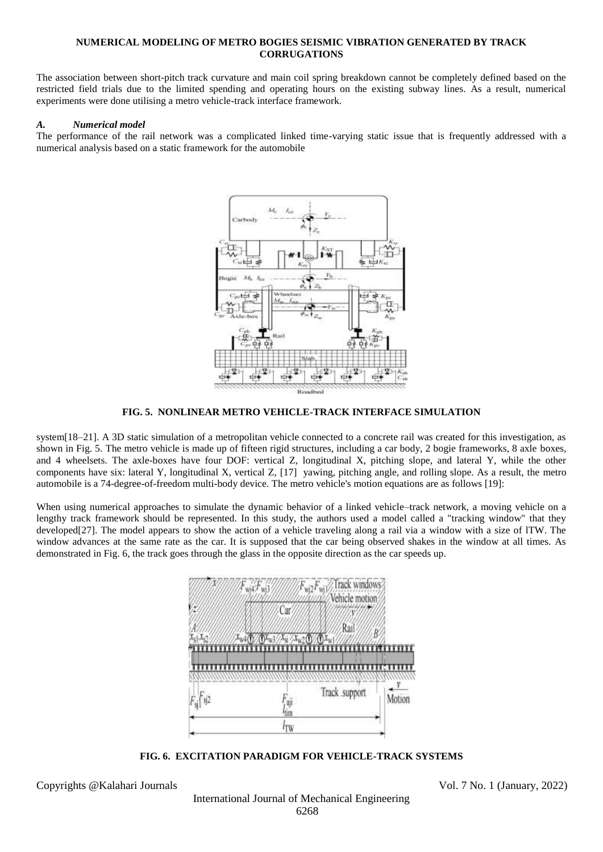#### **NUMERICAL MODELING OF METRO BOGIES SEISMIC VIBRATION GENERATED BY TRACK CORRUGATIONS**

The association between short-pitch track curvature and main coil spring breakdown cannot be completely defined based on the restricted field trials due to the limited spending and operating hours on the existing subway lines. As a result, numerical experiments were done utilising a metro vehicle-track interface framework.

# *A. Numerical model*

The performance of the rail network was a complicated linked time-varying static issue that is frequently addressed with a numerical analysis based on a static framework for the automobile



# **FIG. 5. NONLINEAR METRO VEHICLE-TRACK INTERFACE SIMULATION**

system[18–21]. A 3D static simulation of a metropolitan vehicle connected to a concrete rail was created for this investigation, as shown in Fig. 5. The metro vehicle is made up of fifteen rigid structures, including a car body, 2 bogie frameworks, 8 axle boxes, and 4 wheelsets. The axle-boxes have four DOF: vertical Z, longitudinal X, pitching slope, and lateral Y, while the other components have six: lateral Y, longitudinal X, vertical Z, [17] yawing, pitching angle, and rolling slope. As a result, the metro automobile is a 74-degree-of-freedom multi-body device. The metro vehicle's motion equations are as follows [19]:

When using numerical approaches to simulate the dynamic behavior of a linked vehicle–track network, a moving vehicle on a lengthy track framework should be represented. In this study, the authors used a model called a "tracking window" that they developed[27]. The model appears to show the action of a vehicle traveling along a rail via a window with a size of lTW. The window advances at the same rate as the car. It is supposed that the car being observed shakes in the window at all times. As demonstrated in Fig. 6, the track goes through the glass in the opposite direction as the car speeds up.



**FIG. 6. EXCITATION PARADIGM FOR VEHICLE-TRACK SYSTEMS**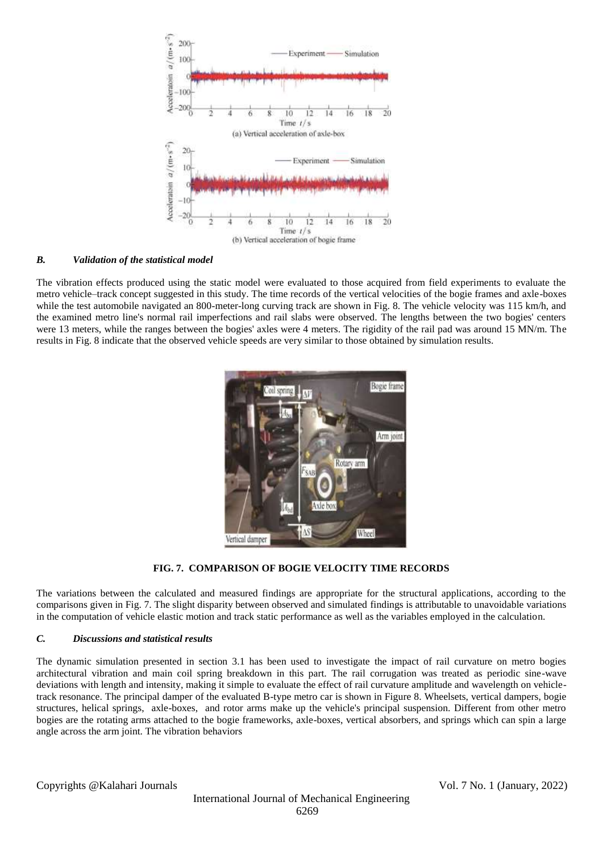

# *B. Validation of the statistical model*

The vibration effects produced using the static model were evaluated to those acquired from field experiments to evaluate the metro vehicle–track concept suggested in this study. The time records of the vertical velocities of the bogie frames and axle-boxes while the test automobile navigated an 800-meter-long curving track are shown in Fig. 8. The vehicle velocity was 115 km/h, and the examined metro line's normal rail imperfections and rail slabs were observed. The lengths between the two bogies' centers were 13 meters, while the ranges between the bogies' axles were 4 meters. The rigidity of the rail pad was around 15 MN/m. The results in Fig. 8 indicate that the observed vehicle speeds are very similar to those obtained by simulation results.



# **FIG. 7. COMPARISON OF BOGIE VELOCITY TIME RECORDS**

The variations between the calculated and measured findings are appropriate for the structural applications, according to the comparisons given in Fig. 7. The slight disparity between observed and simulated findings is attributable to unavoidable variations in the computation of vehicle elastic motion and track static performance as well as the variables employed in the calculation.

# *C. Discussions and statistical results*

The dynamic simulation presented in section 3.1 has been used to investigate the impact of rail curvature on metro bogies architectural vibration and main coil spring breakdown in this part. The rail corrugation was treated as periodic sine-wave deviations with length and intensity, making it simple to evaluate the effect of rail curvature amplitude and wavelength on vehicletrack resonance. The principal damper of the evaluated B-type metro car is shown in Figure 8. Wheelsets, vertical dampers, bogie structures, helical springs, axle-boxes, and rotor arms make up the vehicle's principal suspension. Different from other metro bogies are the rotating arms attached to the bogie frameworks, axle-boxes, vertical absorbers, and springs which can spin a large angle across the arm joint. The vibration behaviors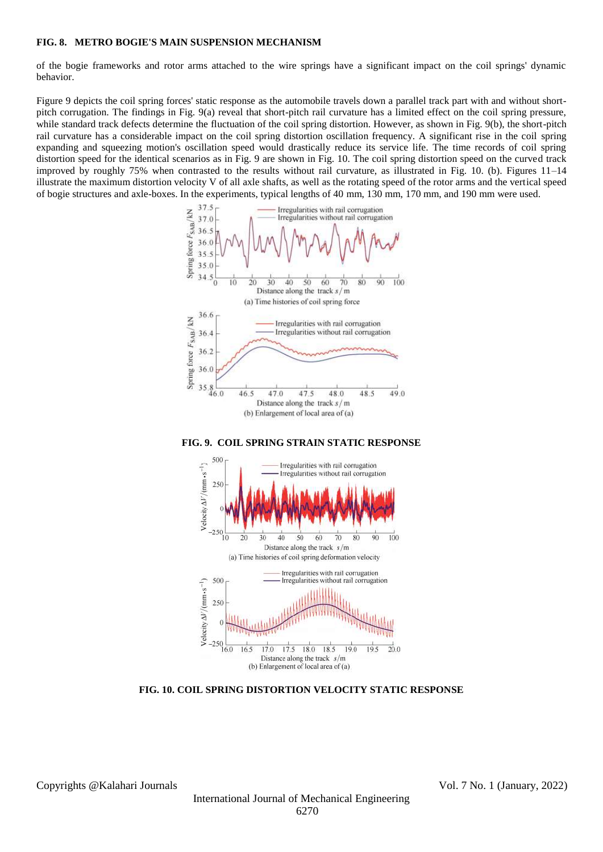#### **FIG. 8. METRO BOGIE'S MAIN SUSPENSION MECHANISM**

of the bogie frameworks and rotor arms attached to the wire springs have a significant impact on the coil springs' dynamic behavior.

Figure 9 depicts the coil spring forces' static response as the automobile travels down a parallel track part with and without shortpitch corrugation. The findings in Fig. 9(a) reveal that short-pitch rail curvature has a limited effect on the coil spring pressure, while standard track defects determine the fluctuation of the coil spring distortion. However, as shown in Fig. 9(b), the short-pitch rail curvature has a considerable impact on the coil spring distortion oscillation frequency. A significant rise in the coil spring expanding and squeezing motion's oscillation speed would drastically reduce its service life. The time records of coil spring distortion speed for the identical scenarios as in Fig. 9 are shown in Fig. 10. The coil spring distortion speed on the curved track improved by roughly 75% when contrasted to the results without rail curvature, as illustrated in Fig. 10. (b). Figures 11–14 illustrate the maximum distortion velocity V of all axle shafts, as well as the rotating speed of the rotor arms and the vertical speed of bogie structures and axle-boxes. In the experiments, typical lengths of 40 mm, 130 mm, 170 mm, and 190 mm were used.



**FIG. 9. COIL SPRING STRAIN STATIC RESPONSE**



**FIG. 10. COIL SPRING DISTORTION VELOCITY STATIC RESPONSE**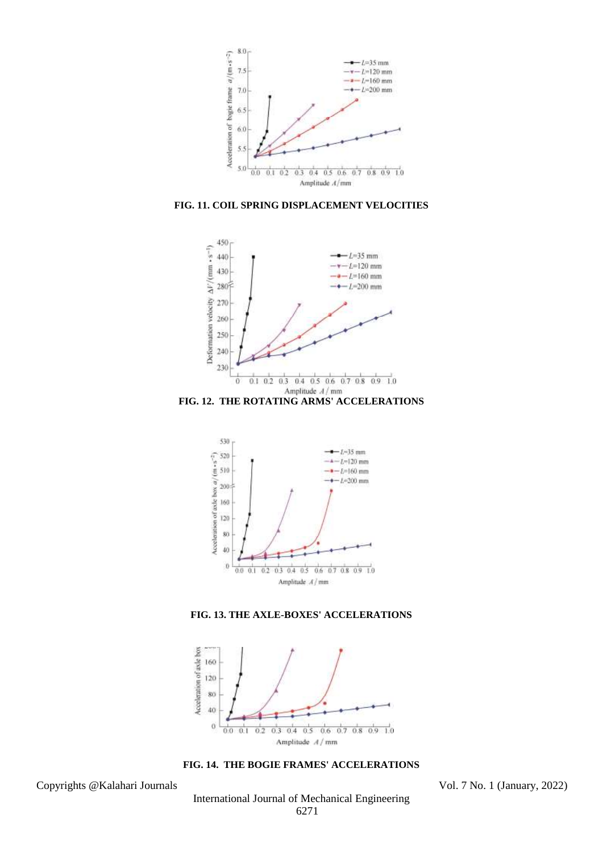

**FIG. 11. COIL SPRING DISPLACEMENT VELOCITIES**





**FIG. 13. THE AXLE-BOXES' ACCELERATIONS**



**FIG. 14. THE BOGIE FRAMES' ACCELERATIONS**

Copyrights @Kalahari Journals Vol. 7 No. 1 (January, 2022)

International Journal of Mechanical Engineering 6271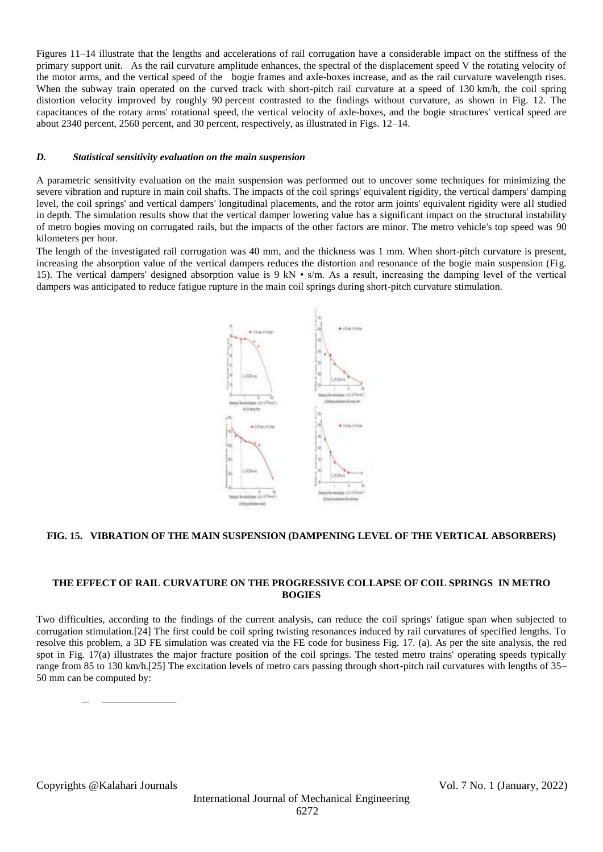Figures 11–14 illustrate that the lengths and accelerations of rail corrugation have a considerable impact on the stiffness of the primary support unit. As the rail curvature amplitude enhances, the spectral of the displacement speed V the rotating velocity of the motor arms, and the vertical speed of the bogie frames and axle-boxes increase, and as the rail curvature wavelength rises. When the subway train operated on the curved track with short-pitch rail curvature at a speed of 130 km/h, the coil spring distortion velocity improved by roughly 90 percent contrasted to the findings without curvature, as shown in Fig. 12. The capacitances of the rotary arms' rotational speed, the vertical velocity of axle-boxes, and the bogie structures' vertical speed are about 2340 percent, 2560 percent, and 30 percent, respectively, as illustrated in Figs. 12–14.

#### *D. Statistical sensitivity evaluation on the main suspension*

A parametric sensitivity evaluation on the main suspension was performed out to uncover some techniques for minimizing the severe vibration and rupture in main coil shafts. The impacts of the coil springs' equivalent rigidity, the vertical dampers' damping level, the coil springs' and vertical dampers' longitudinal placements, and the rotor arm joints' equivalent rigidity were all studied in depth. The simulation results show that the vertical damper lowering value has a significant impact on the structural instability of metro bogies moving on corrugated rails, but the impacts of the other factors are minor. The metro vehicle's top speed was 90 kilometers per hour.

The length of the investigated rail corrugation was 40 mm, and the thickness was 1 mm. When short-pitch curvature is present, increasing the absorption value of the vertical dampers reduces the distortion and resonance of the bogie main suspension (Fig. 15). The vertical dampers' designed absorption value is  $9 \text{ kN} \cdot \text{s/m}$ . As a result, increasing the damping level of the vertical dampers was anticipated to reduce fatigue rupture in the main coil springs during short-pitch curvature stimulation.



# **FIG. 15. VIBRATION OF THE MAIN SUSPENSION (DAMPENING LEVEL OF THE VERTICAL ABSORBERS)**

# **THE EFFECT OF RAIL CURVATURE ON THE PROGRESSIVE COLLAPSE OF COIL SPRINGS IN METRO BOGIES**

Two difficulties, according to the findings of the current analysis, can reduce the coil springs' fatigue span when subjected to corrugation stimulation.[24] The first could be coil spring twisting resonances induced by rail curvatures of specified lengths. To resolve this problem, a 3D FE simulation was created via the FE code for business Fig. 17. (a). As per the site analysis, the red spot in Fig. 17(a) illustrates the major fracture position of the coil springs. The tested metro trains' operating speeds typically range from 85 to 130 km/h.[25] The excitation levels of metro cars passing through short-pitch rail curvatures with lengths of 35– 50 mm can be computed by: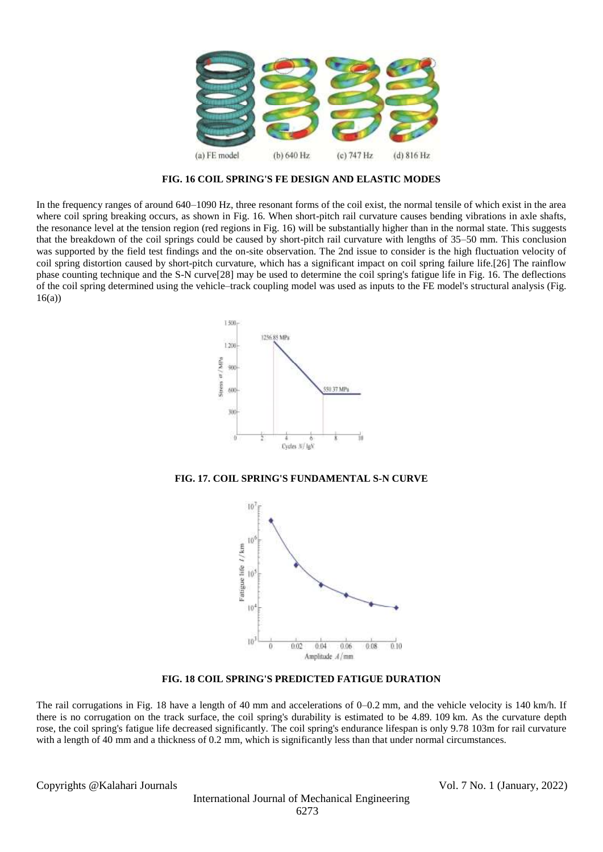

**FIG. 16 COIL SPRING'S FE DESIGN AND ELASTIC MODES**

In the frequency ranges of around 640–1090 Hz, three resonant forms of the coil exist, the normal tensile of which exist in the area where coil spring breaking occurs, as shown in Fig. 16. When short-pitch rail curvature causes bending vibrations in axle shafts, the resonance level at the tension region (red regions in Fig. 16) will be substantially higher than in the normal state. This suggests that the breakdown of the coil springs could be caused by short-pitch rail curvature with lengths of 35–50 mm. This conclusion was supported by the field test findings and the on-site observation. The 2nd issue to consider is the high fluctuation velocity of coil spring distortion caused by short-pitch curvature, which has a significant impact on coil spring failure life.[26] The rainflow phase counting technique and the S-N curve[28] may be used to determine the coil spring's fatigue life in Fig. 16. The deflections of the coil spring determined using the vehicle–track coupling model was used as inputs to the FE model's structural analysis (Fig.  $16(a)$ 



**FIG. 17. COIL SPRING'S FUNDAMENTAL S-N CURVE**



**FIG. 18 COIL SPRING'S PREDICTED FATIGUE DURATION**

The rail corrugations in Fig. 18 have a length of 40 mm and accelerations of 0–0.2 mm, and the vehicle velocity is 140 km/h. If there is no corrugation on the track surface, the coil spring's durability is estimated to be 4.89. 109 km. As the curvature depth rose, the coil spring's fatigue life decreased significantly. The coil spring's endurance lifespan is only 9.78 103m for rail curvature with a length of 40 mm and a thickness of 0.2 mm, which is significantly less than that under normal circumstances.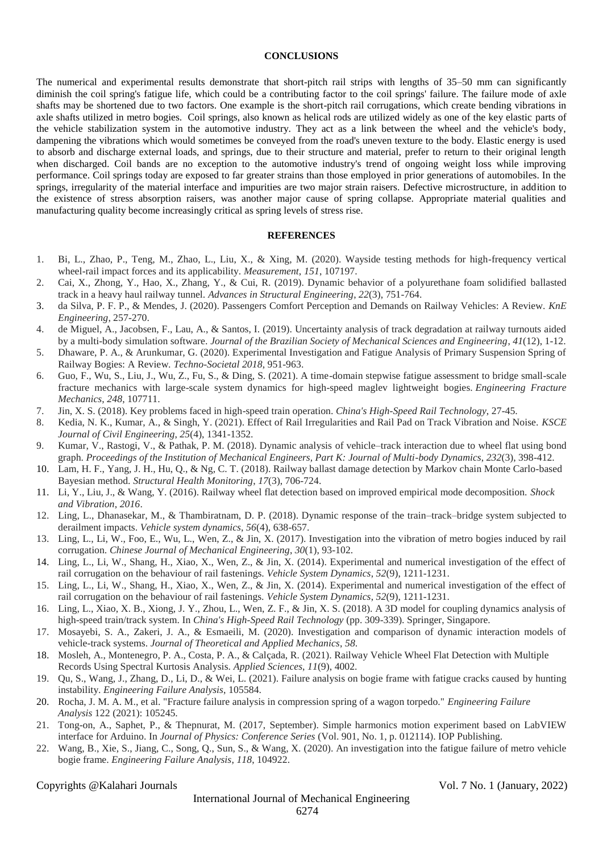#### **CONCLUSIONS**

The numerical and experimental results demonstrate that short-pitch rail strips with lengths of 35–50 mm can significantly diminish the coil spring's fatigue life, which could be a contributing factor to the coil springs' failure. The failure mode of axle shafts may be shortened due to two factors. One example is the short-pitch rail corrugations, which create bending vibrations in axle shafts utilized in metro bogies. Coil springs, also known as helical rods are utilized widely as one of the key elastic parts of the vehicle stabilization system in the automotive industry. They act as a link between the wheel and the vehicle's body, dampening the vibrations which would sometimes be conveyed from the road's uneven texture to the body. Elastic energy is used to absorb and discharge external loads, and springs, due to their structure and material, prefer to return to their original length when discharged. Coil bands are no exception to the automotive industry's trend of ongoing weight loss while improving performance. Coil springs today are exposed to far greater strains than those employed in prior generations of automobiles. In the springs, irregularity of the material interface and impurities are two major strain raisers. Defective microstructure, in addition to the existence of stress absorption raisers, was another major cause of spring collapse. Appropriate material qualities and manufacturing quality become increasingly critical as spring levels of stress rise.

#### **REFERENCES**

- 1. Bi, L., Zhao, P., Teng, M., Zhao, L., Liu, X., & Xing, M. (2020). Wayside testing methods for high-frequency vertical wheel-rail impact forces and its applicability. *Measurement*, *151*, 107197.
- 2. Cai, X., Zhong, Y., Hao, X., Zhang, Y., & Cui, R. (2019). Dynamic behavior of a polyurethane foam solidified ballasted track in a heavy haul railway tunnel. *Advances in Structural Engineering*, *22*(3), 751-764.
- 3. da Silva, P. F. P., & Mendes, J. (2020). Passengers Comfort Perception and Demands on Railway Vehicles: A Review. *KnE Engineering*, 257-270.
- 4. de Miguel, A., Jacobsen, F., Lau, A., & Santos, I. (2019). Uncertainty analysis of track degradation at railway turnouts aided by a multi-body simulation software. *Journal of the Brazilian Society of Mechanical Sciences and Engineering*, *41*(12), 1-12.
- 5. Dhaware, P. A., & Arunkumar, G. (2020). Experimental Investigation and Fatigue Analysis of Primary Suspension Spring of Railway Bogies: A Review. *Techno-Societal 2018*, 951-963.
- 6. Guo, F., Wu, S., Liu, J., Wu, Z., Fu, S., & Ding, S. (2021). A time-domain stepwise fatigue assessment to bridge small-scale fracture mechanics with large-scale system dynamics for high-speed maglev lightweight bogies. *Engineering Fracture Mechanics*, *248*, 107711.
- 7. Jin, X. S. (2018). Key problems faced in high-speed train operation. *China's High-Speed Rail Technology*, 27-45.
- 8. Kedia, N. K., Kumar, A., & Singh, Y. (2021). Effect of Rail Irregularities and Rail Pad on Track Vibration and Noise. *KSCE Journal of Civil Engineering*, *25*(4), 1341-1352.
- 9. Kumar, V., Rastogi, V., & Pathak, P. M. (2018). Dynamic analysis of vehicle–track interaction due to wheel flat using bond graph. *Proceedings of the Institution of Mechanical Engineers, Part K: Journal of Multi-body Dynamics*, *232*(3), 398-412.
- 10. Lam, H. F., Yang, J. H., Hu, Q., & Ng, C. T. (2018). Railway ballast damage detection by Markov chain Monte Carlo-based Bayesian method. *Structural Health Monitoring*, *17*(3), 706-724.
- 11. Li, Y., Liu, J., & Wang, Y. (2016). Railway wheel flat detection based on improved empirical mode decomposition. *Shock and Vibration*, *2016*.
- 12. Ling, L., Dhanasekar, M., & Thambiratnam, D. P. (2018). Dynamic response of the train–track–bridge system subjected to derailment impacts. *Vehicle system dynamics*, *56*(4), 638-657.
- 13. Ling, L., Li, W., Foo, E., Wu, L., Wen, Z., & Jin, X. (2017). Investigation into the vibration of metro bogies induced by rail corrugation. *Chinese Journal of Mechanical Engineering*, *30*(1), 93-102.
- 14. Ling, L., Li, W., Shang, H., Xiao, X., Wen, Z., & Jin, X. (2014). Experimental and numerical investigation of the effect of rail corrugation on the behaviour of rail fastenings. *Vehicle System Dynamics*, *52*(9), 1211-1231.
- 15. Ling, L., Li, W., Shang, H., Xiao, X., Wen, Z., & Jin, X. (2014). Experimental and numerical investigation of the effect of rail corrugation on the behaviour of rail fastenings. *Vehicle System Dynamics*, *52*(9), 1211-1231.
- 16. Ling, L., Xiao, X. B., Xiong, J. Y., Zhou, L., Wen, Z. F., & Jin, X. S. (2018). A 3D model for coupling dynamics analysis of high-speed train/track system. In *China's High-Speed Rail Technology* (pp. 309-339). Springer, Singapore.
- 17. Mosayebi, S. A., Zakeri, J. A., & Esmaeili, M. (2020). Investigation and comparison of dynamic interaction models of vehicle-track systems. *Journal of Theoretical and Applied Mechanics*, *58*.
- 18. Mosleh, A., Montenegro, P. A., Costa, P. A., & Calçada, R. (2021). Railway Vehicle Wheel Flat Detection with Multiple Records Using Spectral Kurtosis Analysis. *Applied Sciences*, *11*(9), 4002.
- 19. Qu, S., Wang, J., Zhang, D., Li, D., & Wei, L. (2021). Failure analysis on bogie frame with fatigue cracks caused by hunting instability. *Engineering Failure Analysis*, 105584.
- 20. Rocha, J. M. A. M., et al. "Fracture failure analysis in compression spring of a wagon torpedo." *Engineering Failure Analysis* 122 (2021): 105245.
- 21. Tong-on, A., Saphet, P., & Thepnurat, M. (2017, September). Simple harmonics motion experiment based on LabVIEW interface for Arduino. In *Journal of Physics: Conference Series* (Vol. 901, No. 1, p. 012114). IOP Publishing.
- 22. Wang, B., Xie, S., Jiang, C., Song, Q., Sun, S., & Wang, X. (2020). An investigation into the fatigue failure of metro vehicle bogie frame. *Engineering Failure Analysis*, *118*, 104922.